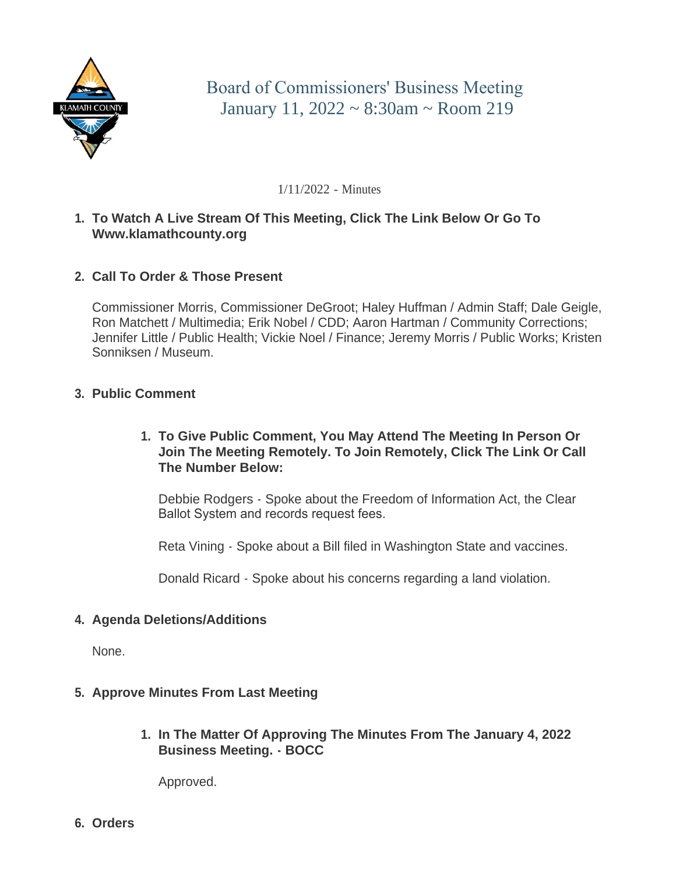

# Board of Commissioners' Business Meeting January 11, 2022 ~ 8:30am ~ Room 219

1/11/2022 - Minutes

- **To Watch A Live Stream Of This Meeting, Click The Link Below Or Go To 1. Www.klamathcounty.org**
- **Call To Order & Those Present 2.**

Commissioner Morris, Commissioner DeGroot; Haley Huffman / Admin Staff; Dale Geigle, Ron Matchett / Multimedia; Erik Nobel / CDD; Aaron Hartman / Community Corrections; Jennifer Little / Public Health; Vickie Noel / Finance; Jeremy Morris / Public Works; Kristen Sonniksen / Museum.

# **Public Comment 3.**

**To Give Public Comment, You May Attend The Meeting In Person Or 1. Join The Meeting Remotely. To Join Remotely, Click The Link Or Call The Number Below:**

Debbie Rodgers - Spoke about the Freedom of Information Act, the Clear Ballot System and records request fees.

Reta Vining - Spoke about a Bill filed in Washington State and vaccines.

Donald Ricard - Spoke about his concerns regarding a land violation.

# **Agenda Deletions/Additions 4.**

None.

#### **Approve Minutes From Last Meeting 5.**

**In The Matter Of Approving The Minutes From The January 4, 2022 1. Business Meeting. - BOCC**

Approved.

**Orders 6.**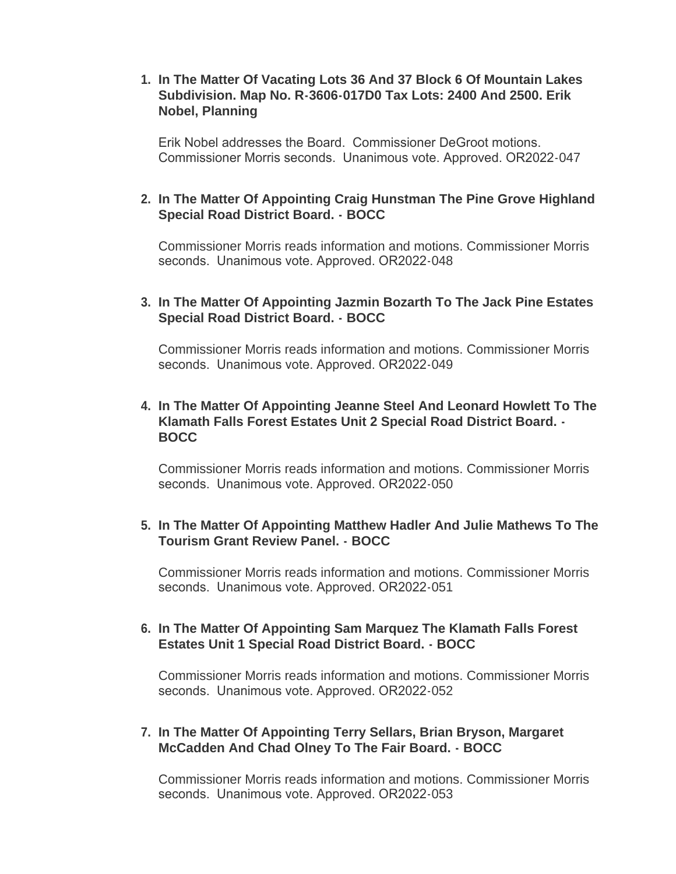### **In The Matter Of Vacating Lots 36 And 37 Block 6 Of Mountain Lakes 1. Subdivision. Map No. R-3606-017D0 Tax Lots: 2400 And 2500. Erik Nobel, Planning**

Erik Nobel addresses the Board. Commissioner DeGroot motions. Commissioner Morris seconds. Unanimous vote. Approved. OR2022-047

# **In The Matter Of Appointing Craig Hunstman The Pine Grove Highland 2. Special Road District Board. - BOCC**

Commissioner Morris reads information and motions. Commissioner Morris seconds. Unanimous vote. Approved. OR2022-048

# **In The Matter Of Appointing Jazmin Bozarth To The Jack Pine Estates 3. Special Road District Board. - BOCC**

Commissioner Morris reads information and motions. Commissioner Morris seconds. Unanimous vote. Approved. OR2022-049

#### **In The Matter Of Appointing Jeanne Steel And Leonard Howlett To The 4. Klamath Falls Forest Estates Unit 2 Special Road District Board. - BOCC**

Commissioner Morris reads information and motions. Commissioner Morris seconds. Unanimous vote. Approved. OR2022-050

#### **In The Matter Of Appointing Matthew Hadler And Julie Mathews To The 5. Tourism Grant Review Panel. - BOCC**

Commissioner Morris reads information and motions. Commissioner Morris seconds. Unanimous vote. Approved. OR2022-051

#### **In The Matter Of Appointing Sam Marquez The Klamath Falls Forest 6. Estates Unit 1 Special Road District Board. - BOCC**

Commissioner Morris reads information and motions. Commissioner Morris seconds. Unanimous vote. Approved. OR2022-052

#### **In The Matter Of Appointing Terry Sellars, Brian Bryson, Margaret 7. McCadden And Chad Olney To The Fair Board. - BOCC**

Commissioner Morris reads information and motions. Commissioner Morris seconds. Unanimous vote. Approved. OR2022-053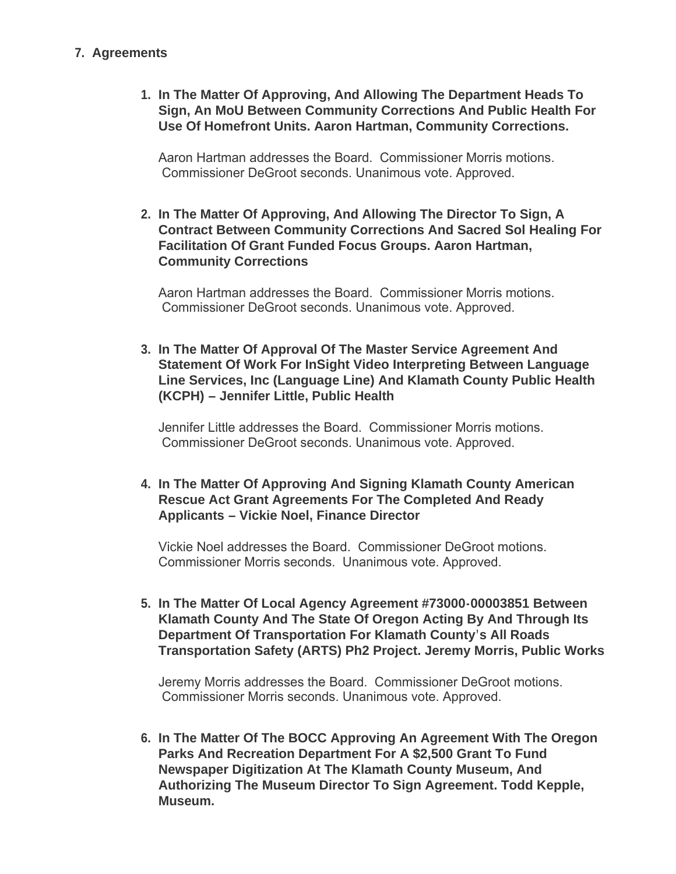# **Agreements 7.**

**In The Matter Of Approving, And Allowing The Department Heads To 1. Sign, An MoU Between Community Corrections And Public Health For Use Of Homefront Units. Aaron Hartman, Community Corrections.**

Aaron Hartman addresses the Board. Commissioner Morris motions. Commissioner DeGroot seconds. Unanimous vote. Approved.

**In The Matter Of Approving, And Allowing The Director To Sign, A 2. Contract Between Community Corrections And Sacred Sol Healing For Facilitation Of Grant Funded Focus Groups. Aaron Hartman, Community Corrections**

Aaron Hartman addresses the Board. Commissioner Morris motions. Commissioner DeGroot seconds. Unanimous vote. Approved.

**In The Matter Of Approval Of The Master Service Agreement And 3. Statement Of Work For InSight Video Interpreting Between Language Line Services, Inc (Language Line) And Klamath County Public Health (KCPH) – Jennifer Little, Public Health**

Jennifer Little addresses the Board. Commissioner Morris motions. Commissioner DeGroot seconds. Unanimous vote. Approved.

**In The Matter Of Approving And Signing Klamath County American 4. Rescue Act Grant Agreements For The Completed And Ready Applicants – Vickie Noel, Finance Director**

Vickie Noel addresses the Board. Commissioner DeGroot motions. Commissioner Morris seconds. Unanimous vote. Approved.

**In The Matter Of Local Agency Agreement #73000-00003851 Between 5. Klamath County And The State Of Oregon Acting By And Through Its Department Of Transportation For Klamath County's All Roads Transportation Safety (ARTS) Ph2 Project. Jeremy Morris, Public Works**

Jeremy Morris addresses the Board. Commissioner DeGroot motions. Commissioner Morris seconds. Unanimous vote. Approved.

**In The Matter Of The BOCC Approving An Agreement With The Oregon 6. Parks And Recreation Department For A \$2,500 Grant To Fund Newspaper Digitization At The Klamath County Museum, And Authorizing The Museum Director To Sign Agreement. Todd Kepple, Museum.**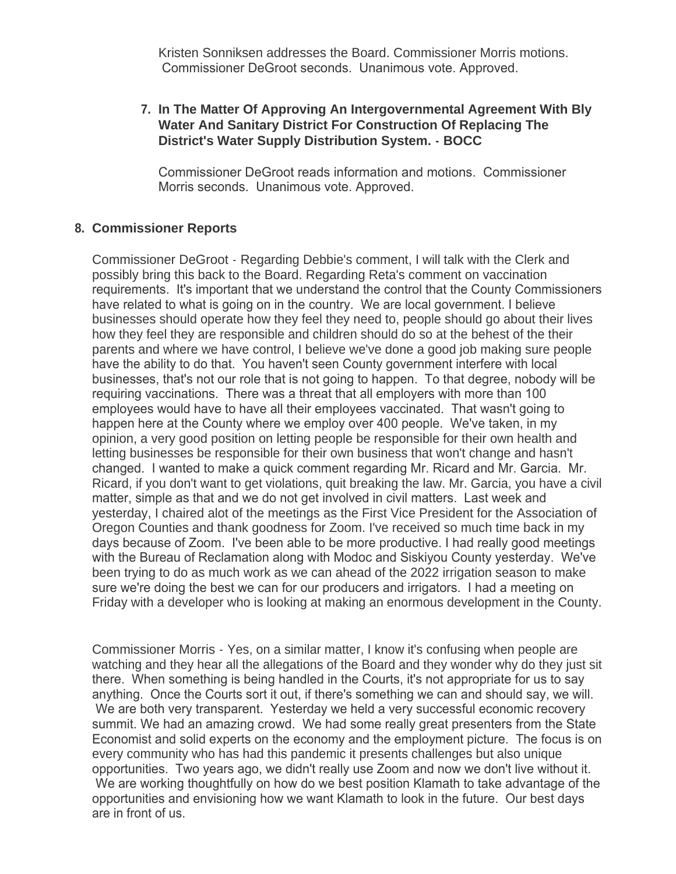Kristen Sonniksen addresses the Board. Commissioner Morris motions. Commissioner DeGroot seconds. Unanimous vote. Approved.

# **In The Matter Of Approving An Intergovernmental Agreement With Bly 7. Water And Sanitary District For Construction Of Replacing The District's Water Supply Distribution System. - BOCC**

Commissioner DeGroot reads information and motions. Commissioner Morris seconds. Unanimous vote. Approved.

# **Commissioner Reports 8.**

Commissioner DeGroot - Regarding Debbie's comment, I will talk with the Clerk and possibly bring this back to the Board. Regarding Reta's comment on vaccination requirements. It's important that we understand the control that the County Commissioners have related to what is going on in the country. We are local government. I believe businesses should operate how they feel they need to, people should go about their lives how they feel they are responsible and children should do so at the behest of the their parents and where we have control, I believe we've done a good job making sure people have the ability to do that. You haven't seen County government interfere with local businesses, that's not our role that is not going to happen. To that degree, nobody will be requiring vaccinations. There was a threat that all employers with more than 100 employees would have to have all their employees vaccinated. That wasn't going to happen here at the County where we employ over 400 people. We've taken, in my opinion, a very good position on letting people be responsible for their own health and letting businesses be responsible for their own business that won't change and hasn't changed. I wanted to make a quick comment regarding Mr. Ricard and Mr. Garcia. Mr. Ricard, if you don't want to get violations, quit breaking the law. Mr. Garcia, you have a civil matter, simple as that and we do not get involved in civil matters. Last week and yesterday, I chaired alot of the meetings as the First Vice President for the Association of Oregon Counties and thank goodness for Zoom. I've received so much time back in my days because of Zoom. I've been able to be more productive. I had really good meetings with the Bureau of Reclamation along with Modoc and Siskiyou County yesterday. We've been trying to do as much work as we can ahead of the 2022 irrigation season to make sure we're doing the best we can for our producers and irrigators. I had a meeting on Friday with a developer who is looking at making an enormous development in the County.

Commissioner Morris - Yes, on a similar matter, I know it's confusing when people are watching and they hear all the allegations of the Board and they wonder why do they just sit there. When something is being handled in the Courts, it's not appropriate for us to say anything. Once the Courts sort it out, if there's something we can and should say, we will. We are both very transparent. Yesterday we held a very successful economic recovery summit. We had an amazing crowd. We had some really great presenters from the State Economist and solid experts on the economy and the employment picture. The focus is on every community who has had this pandemic it presents challenges but also unique opportunities. Two years ago, we didn't really use Zoom and now we don't live without it. We are working thoughtfully on how do we best position Klamath to take advantage of the opportunities and envisioning how we want Klamath to look in the future. Our best days are in front of us.